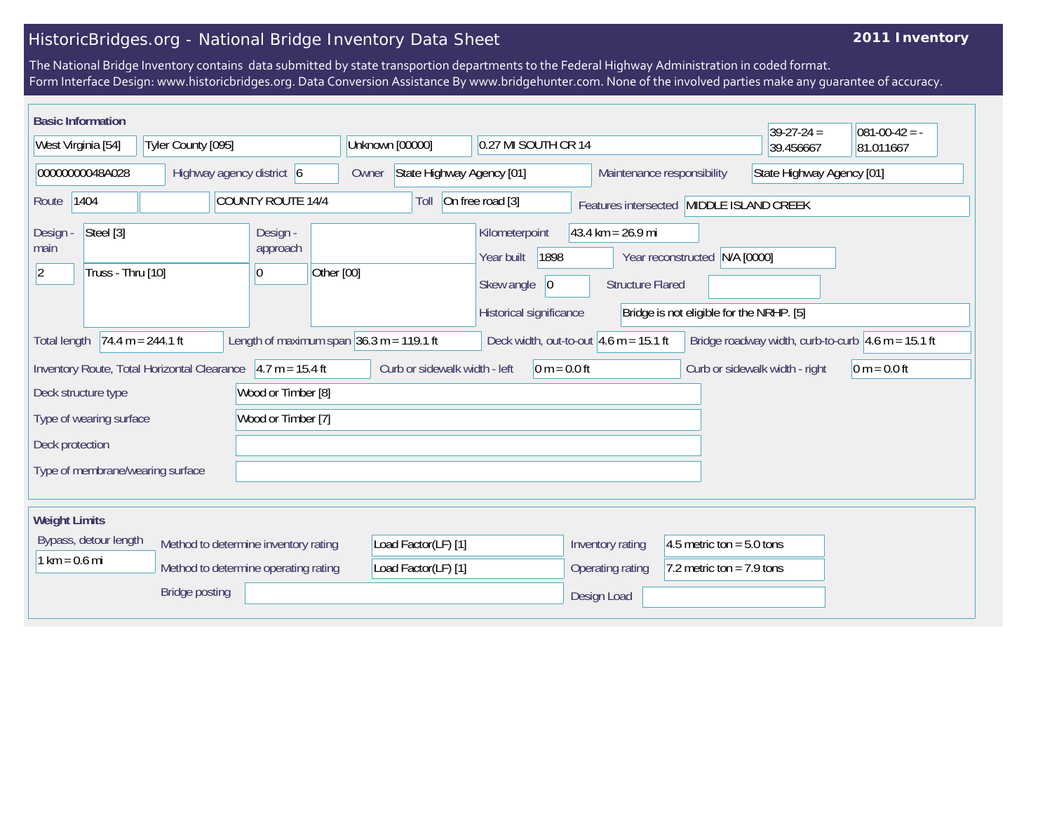## HistoricBridges.org - National Bridge Inventory Data Sheet

## **2011 Inventory**

The National Bridge Inventory contains data submitted by state transportion departments to the Federal Highway Administration in coded format. Form Interface Design: www.historicbridges.org. Data Conversion Assistance By www.bridgehunter.com. None of the involved parties make any guarantee of accuracy.

| <b>Basic Information</b>                                                                                                                                                                     |  |                                                                  |      |                                                          |                                                                |                                          | $39-27-24 =$ | $081 - 00 - 42 = -$ |
|----------------------------------------------------------------------------------------------------------------------------------------------------------------------------------------------|--|------------------------------------------------------------------|------|----------------------------------------------------------|----------------------------------------------------------------|------------------------------------------|--------------|---------------------|
| West Virginia [54]<br>Tyler County [095]                                                                                                                                                     |  | Unknown [00000]<br>0.27 MI SOUTH CR 14                           |      |                                                          |                                                                | 39.456667                                | 81.011667    |                     |
| 00000000048A028<br>Highway agency district 6                                                                                                                                                 |  | State Highway Agency [01]<br>Maintenance responsibility<br>Owner |      |                                                          | State Highway Agency [01]                                      |                                          |              |                     |
| 1404<br><b>COUNTY ROUTE 14/4</b><br>Route                                                                                                                                                    |  |                                                                  | Toll | On free road [3]                                         |                                                                | Features intersected MIDDLE ISLAND CREEK |              |                     |
| Steel [3]<br>Design<br>main<br>Truss - Thru [10]<br>$ 2\rangle$                                                                                                                              |  | Design -<br>approach<br>Other [00]<br> 0                         |      | Kilometerpoint<br>1898<br>Year built<br>Skew angle<br> 0 | $43.4 \text{ km} = 26.9 \text{ mi}$<br><b>Structure Flared</b> | N/A [0000]<br>Year reconstructed         |              |                     |
|                                                                                                                                                                                              |  |                                                                  |      | Historical significance                                  |                                                                | Bridge is not eligible for the NRHP. [5] |              |                     |
| Length of maximum span $36.3$ m = 119.1 ft<br>$74.4 m = 244.1 ft$<br>Deck width, out-to-out $4.6$ m = 15.1 ft<br>Bridge roadway width, curb-to-curb $4.6$ m = 15.1 ft<br><b>Total length</b> |  |                                                                  |      |                                                          |                                                                |                                          |              |                     |
| Inventory Route, Total Horizontal Clearance 4.7 m = 15.4 ft                                                                                                                                  |  | Curb or sidewalk width - left<br>$0 m = 0.0 ft$                  |      |                                                          | Curb or sidewalk width - right                                 | $0 m = 0.0 ft$                           |              |                     |
| Deck structure type                                                                                                                                                                          |  | Wood or Timber [8]                                               |      |                                                          |                                                                |                                          |              |                     |
| Wood or Timber [7]<br>Type of wearing surface                                                                                                                                                |  |                                                                  |      |                                                          |                                                                |                                          |              |                     |
| Deck protection                                                                                                                                                                              |  |                                                                  |      |                                                          |                                                                |                                          |              |                     |
| Type of membrane/wearing surface                                                                                                                                                             |  |                                                                  |      |                                                          |                                                                |                                          |              |                     |
| <b>Weight Limits</b>                                                                                                                                                                         |  |                                                                  |      |                                                          |                                                                |                                          |              |                     |
| Bypass, detour length<br>Method to determine inventory rating                                                                                                                                |  | Load Factor(LF) [1]                                              |      | Inventory rating                                         | 4.5 metric ton = $5.0$ tons                                    |                                          |              |                     |
| $1 km = 0.6 mi$<br>Method to determine operating rating                                                                                                                                      |  | Load Factor(LF) [1]                                              |      | Operating rating                                         | 7.2 metric ton = $7.9$ tons                                    |                                          |              |                     |
| <b>Bridge posting</b>                                                                                                                                                                        |  |                                                                  |      | Design Load                                              |                                                                |                                          |              |                     |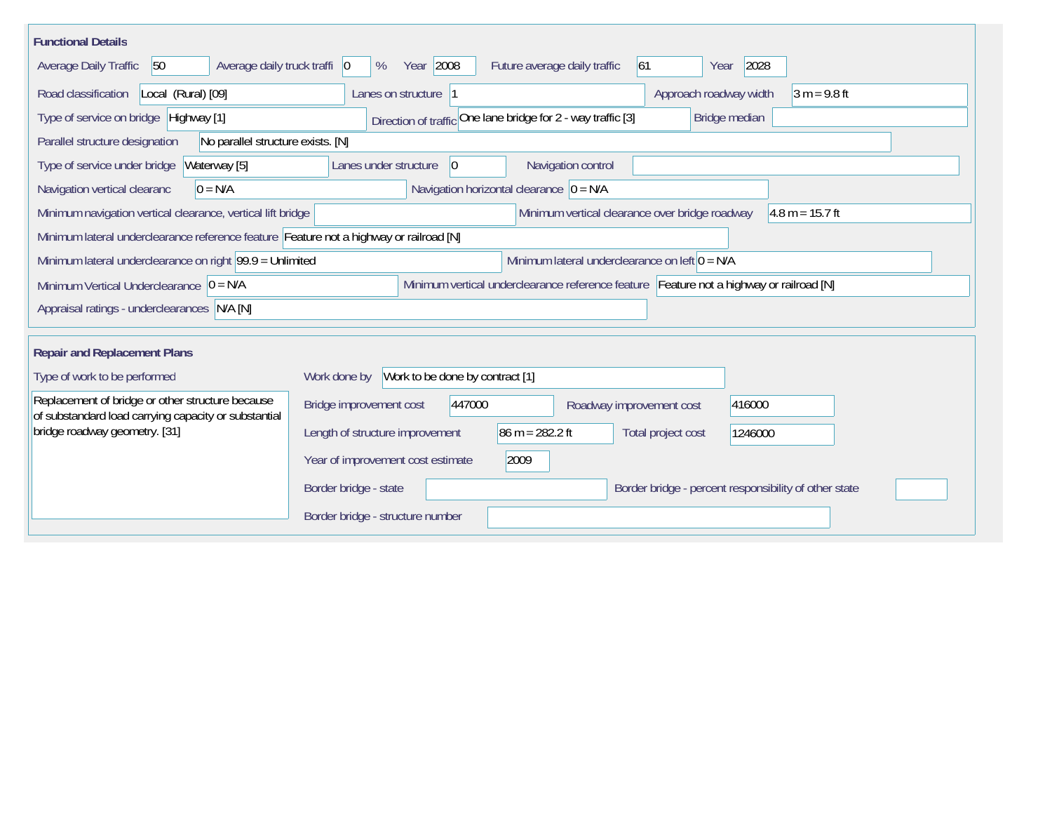| <b>Functional Details</b>                                                                                    |                                                                                         |  |  |  |  |  |  |
|--------------------------------------------------------------------------------------------------------------|-----------------------------------------------------------------------------------------|--|--|--|--|--|--|
| 50<br>Average daily truck traffi 0<br>Average Daily Traffic                                                  | Year 2008<br>2028<br>Future average daily traffic<br> 61<br>%<br>Year                   |  |  |  |  |  |  |
| Road classification<br>Local (Rural) [09]                                                                    | Approach roadway width<br>$3 m = 9.8 ft$<br>Lanes on structure  1                       |  |  |  |  |  |  |
| Type of service on bridge Highway [1]                                                                        | Direction of traffic One lane bridge for 2 - way traffic [3]<br>Bridge median           |  |  |  |  |  |  |
| Parallel structure designation<br>No parallel structure exists. [N]                                          |                                                                                         |  |  |  |  |  |  |
| Type of service under bridge<br>Waterway [5]                                                                 | Navigation control<br>Lanes under structure<br>$ 0\rangle$                              |  |  |  |  |  |  |
| Navigation vertical clearanc<br>$0 = N/A$                                                                    | Navigation horizontal clearance $ 0 = N/A$                                              |  |  |  |  |  |  |
| Minimum navigation vertical clearance, vertical lift bridge                                                  | Minimum vertical clearance over bridge roadway<br>$4.8 m = 15.7 ft$                     |  |  |  |  |  |  |
| Minimum lateral underclearance reference feature Feature not a highway or railroad [N]                       |                                                                                         |  |  |  |  |  |  |
| Minimum lateral underclearance on left $0 = N/A$<br>Minimum lateral underclearance on right 99.9 = Unlimited |                                                                                         |  |  |  |  |  |  |
| Minimum Vertical Underclearance $ 0 = N/A$                                                                   | Minimum vertical underclearance reference feature Feature not a highway or railroad [N] |  |  |  |  |  |  |
| Appraisal ratings - underclearances N/A [N]                                                                  |                                                                                         |  |  |  |  |  |  |
|                                                                                                              |                                                                                         |  |  |  |  |  |  |
| <b>Repair and Replacement Plans</b>                                                                          |                                                                                         |  |  |  |  |  |  |
| Type of work to be performed                                                                                 | Work to be done by contract [1]<br>Work done by                                         |  |  |  |  |  |  |
| Replacement of bridge or other structure because<br>of substandard load carrying capacity or substantial     | 447000<br>Bridge improvement cost<br>416000<br>Roadway improvement cost                 |  |  |  |  |  |  |
| bridge roadway geometry. [31]                                                                                | Length of structure improvement<br>$86 m = 282.2 ft$<br>Total project cost<br>1246000   |  |  |  |  |  |  |
|                                                                                                              | Year of improvement cost estimate<br>2009                                               |  |  |  |  |  |  |
|                                                                                                              | Border bridge - percent responsibility of other state<br>Border bridge - state          |  |  |  |  |  |  |
|                                                                                                              | Border bridge - structure number                                                        |  |  |  |  |  |  |